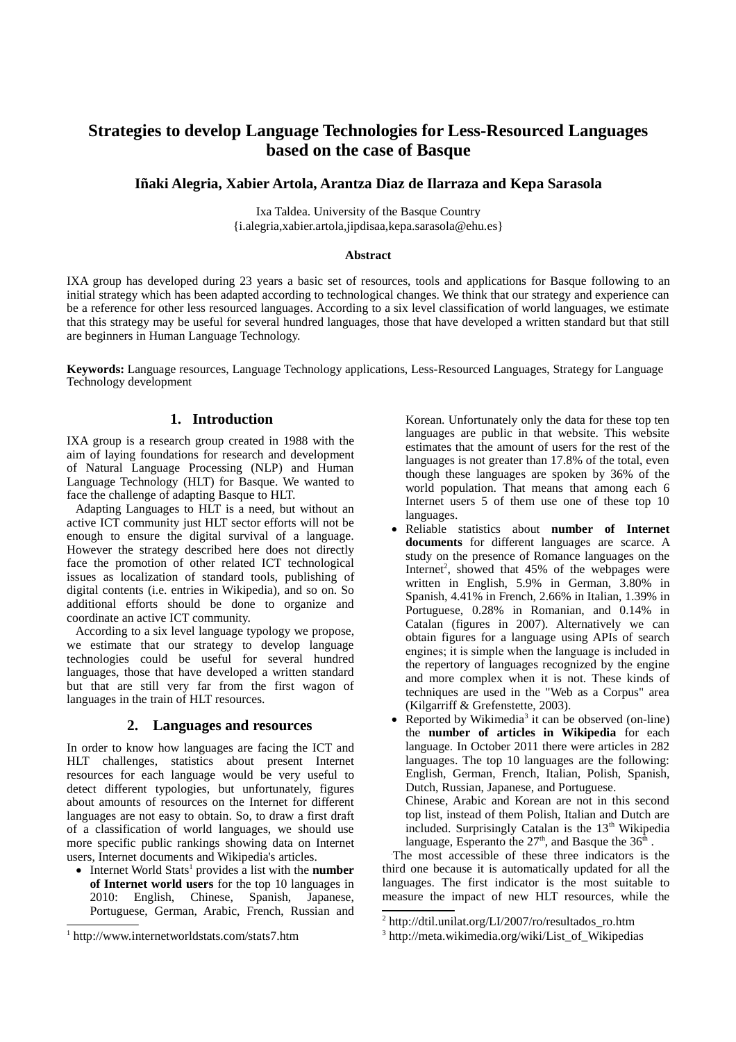# **Strategies to develop Language Technologies for Less-Resourced Languages based on the case of Basque**

## **Iñaki Alegria, Xabier Artola, Arantza Diaz de Ilarraza and Kepa Sarasola**

Ixa Taldea. University of the Basque Country {i.alegria,xabier.artola,jipdisaa,kepa.sarasola@ehu.es}

#### **Abstract**

IXA group has developed during 23 years a basic set of resources, tools and applications for Basque following to an initial strategy which has been adapted according to technological changes. We think that our strategy and experience can be a reference for other less resourced languages. According to a six level classification of world languages, we estimate that this strategy may be useful for several hundred languages, those that have developed a written standard but that still are beginners in Human Language Technology.

**Keywords:** Language resources, Language Technology applications, Less-Resourced Languages, Strategy for Language Technology development

# **1. Introduction**

IXA group is a research group created in 1988 with the aim of laying foundations for research and development of Natural Language Processing (NLP) and Human Language Technology (HLT) for Basque. We wanted to face the challenge of adapting Basque to HLT.

Adapting Languages to HLT is a need, but without an active ICT community just HLT sector efforts will not be enough to ensure the digital survival of a language. However the strategy described here does not directly face the promotion of other related ICT technological issues as localization of standard tools, publishing of digital contents (i.e. entries in Wikipedia), and so on. So additional efforts should be done to organize and coordinate an active ICT community.

According to a six level language typology we propose, we estimate that our strategy to develop language technologies could be useful for several hundred languages, those that have developed a written standard but that are still very far from the first wagon of languages in the train of HLT resources.

### **2. Languages and resources**

In order to know how languages are facing the ICT and HLT challenges, statistics about present Internet resources for each language would be very useful to detect different typologies, but unfortunately, figures about amounts of resources on the Internet for different languages are not easy to obtain. So, to draw a first draft of a classification of world languages, we should use more specific public rankings showing data on Internet users, Internet documents and Wikipedia's articles.

• Internet World Stats<sup>1</sup> provides a list with the **number of Internet world users** for the top 10 languages in 2010: English, Chinese, Spanish, Japanese, Portuguese, German, Arabic, French, Russian and

Korean. Unfortunately only the data for these top ten languages are public in that website. This website estimates that the amount of users for the rest of the languages is not greater than 17.8% of the total, even though these languages are spoken by 36% of the world population. That means that among each 6 Internet users 5 of them use one of these top 10 languages.

- Reliable statistics about **number of Internet documents** for different languages are scarce. A study on the presence of Romance languages on the Internet<sup>2</sup>, showed that  $45\%$  of the webpages were written in English, 5.9% in German, 3.80% in Spanish, 4.41% in French, 2.66% in Italian, 1.39% in Portuguese, 0.28% in Romanian, and 0.14% in Catalan (figures in 2007). Alternatively we can obtain figures for a language using APIs of search engines; it is simple when the language is included in the repertory of languages recognized by the engine and more complex when it is not. These kinds of techniques are used in the "Web as a Corpus" area (Kilgarriff & Grefenstette, 2003).
- Reported by Wikimedia<sup>3</sup> it can be observed (on-line) the **number of articles in Wikipedia** for each language. In October 2011 there were articles in 282 languages. The top 10 languages are the following: English, German, French, Italian, Polish, Spanish, Dutch, Russian, Japanese, and Portuguese. Chinese, Arabic and Korean are not in this second top list, instead of them Polish, Italian and Dutch are included. Surprisingly Catalan is the  $13<sup>th</sup>$  Wikipedia language, Esperanto the  $27<sup>th</sup>$ , and Basque the  $36<sup>th</sup>$ .

.The most accessible of these three indicators is the third one because it is automatically updated for all the languages. The first indicator is the most suitable to measure the impact of new HLT resources, while the

<sup>1</sup> http://www.internetworldstats.com/stats7.htm

<sup>2</sup> http://dtil.unilat.org/LI/2007/ro/resultados\_ro.htm

<sup>3</sup> http://meta.wikimedia.org/wiki/List\_of\_Wikipedias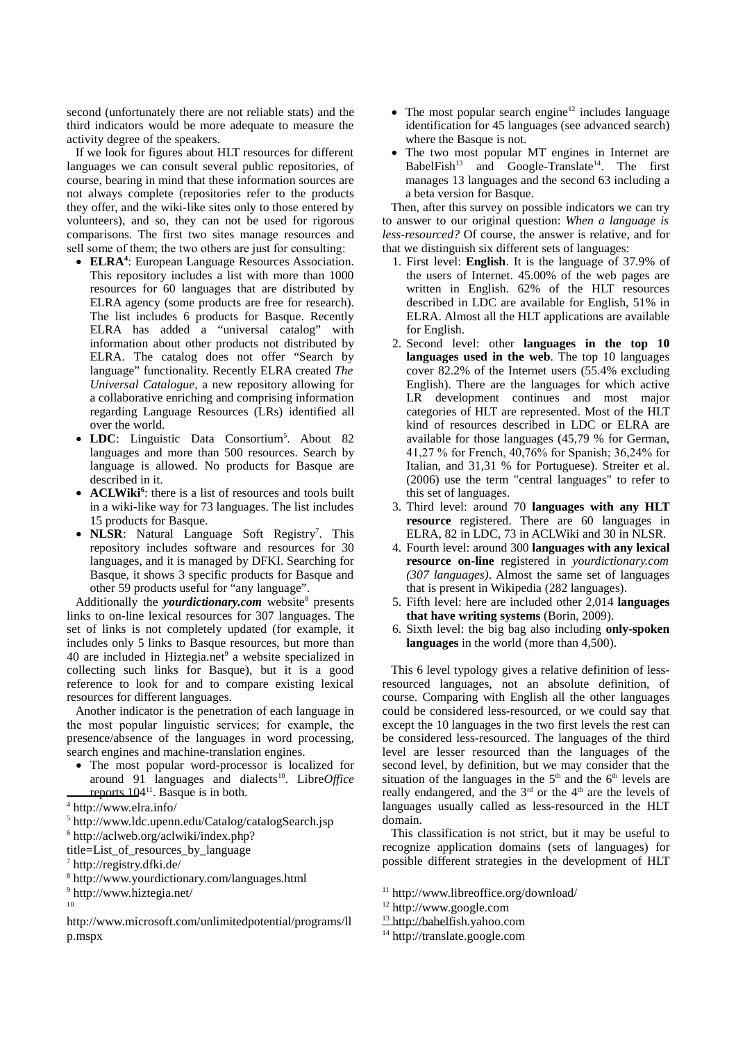second (unfortunately there are not reliable stats) and the third indicators would be more adequate to measure the activity degree of the speakers.

If we look for figures about HLT resources for different languages we can consult several public repositories, of course, bearing in mind that these information sources are not always complete (repositories refer to the products they offer, and the wiki-like sites only to those entered by volunteers), and so, they can not be used for rigorous comparisons. The first two sites manage resources and sell some of them; the two others are just for consulting:

- **ELRA<sup>4</sup>** : European Language Resources Association. This repository includes a list with more than 1000 resources for 60 languages that are distributed by ELRA agency (some products are free for research). The list includes 6 products for Basque. Recently ELRA has added a "universal catalog" with information about other products not distributed by ELRA. The catalog does not offer "Search by language" functionality. Recently ELRA created *The Universal Catalogue,* a new repository allowing for a collaborative enriching and comprising information regarding Language Resources (LRs) identified all over the world.
- LDC: Linguistic Data Consortium<sup>5</sup>. About 82 languages and more than 500 resources. Search by language is allowed. No products for Basque are described in it.
- **ACLWiki<sup>6</sup>** : there is a list of resources and tools built in a wiki-like way for 73 languages. The list includes 15 products for Basque.
- NLSR: Natural Language Soft Registry<sup>7</sup>. This repository includes software and resources for 30 languages, and it is managed by DFKI. Searching for Basque, it shows 3 specific products for Basque and other 59 products useful for "any language".

Additionally the *yourdictionary.com* website<sup>8</sup> presents links to on-line lexical resources for 307 languages. The set of links is not completely updated (for example, it includes only 5 links to Basque resources, but more than 40 are included in Hiztegia.net $9$  a website specialized in collecting such links for Basque), but it is a good reference to look for and to compare existing lexical resources for different languages.

Another indicator is the penetration of each language in the most popular linguistic services; for example, the presence/absence of the languages in word processing, search engines and machine-translation engines.

- The most popular word-processor is localized for around 91 languages and dialects<sup>10</sup>. Libre*Office* reports  $104<sup>11</sup>$ . Basque is in both.
- 4 http://www.elra.info/

- 6 http://aclweb.org/aclwiki/index.php?
- title=List\_of\_resources\_by\_language
- 7 http://registry.dfki.de/
- 8 http://www.yourdictionary.com/languages.html
- 9 http://www.hiztegia.net/
- 10
- http://www.microsoft.com/unlimitedpotential/programs/ll p.mspx
- The most popular search engine<sup>12</sup> includes language identification for 45 languages (see advanced search) where the Basque is not.
- The two most popular MT engines in Internet are BabelFish<sup>13</sup> and Google-Translate<sup>14</sup>. The first manages 13 languages and the second 63 including a a beta version for Basque.

Then, after this survey on possible indicators we can try to answer to our original question: *When a language is less-resourced?* Of course, the answer is relative, and for that we distinguish six different sets of languages:

- 1. First level: **English**. It is the language of 37.9% of the users of Internet. 45.00% of the web pages are written in English. 62% of the HLT resources described in LDC are available for English, 51% in ELRA. Almost all the HLT applications are available for English.
- 2. Second level: other **languages in the top 10 languages used in the web**. The top 10 languages cover 82.2% of the Internet users (55.4% excluding English). There are the languages for which active LR development continues and most major categories of HLT are represented. Most of the HLT kind of resources described in LDC or ELRA are available for those languages (45,79 % for German, 41,27 % for French, 40,76% for Spanish; 36,24% for Italian, and 31,31 % for Portuguese). Streiter et al. (2006) use the term "central languages" to refer to this set of languages.
- 3. Third level: around 70 **languages with any HLT resource** registered. There are 60 languages in ELRA, 82 in LDC, 73 in ACLWiki and 30 in NLSR.
- 4. Fourth level: around 300 **languages with any lexical resource on-line** registered in *yourdictionary.com (307 languages)*. Almost the same set of languages that is present in Wikipedia (282 languages).
- 5. Fifth level: here are included other 2,014 **languages that have writing systems** (Borin, 2009).
- 6. Sixth level: the big bag also including **only-spoken languages** in the world (more than 4,500).

This 6 level typology gives a relative definition of lessresourced languages, not an absolute definition, of course. Comparing with English all the other languages could be considered less-resourced, or we could say that except the 10 languages in the two first levels the rest can be considered less-resourced. The languages of the third level are lesser resourced than the languages of the second level, by definition, but we may consider that the situation of the languages in the  $5<sup>th</sup>$  and the  $6<sup>th</sup>$  levels are really endangered, and the  $3<sup>rd</sup>$  or the  $4<sup>th</sup>$  are the levels of languages usually called as less-resourced in the HLT domain.

This classification is not strict, but it may be useful to recognize application domains (sets of languages) for possible different strategies in the development of HLT

<sup>13</sup> http://babelfish.yahoo.com

<sup>5</sup> http://www.ldc.upenn.edu/Catalog/catalogSearch.jsp

<sup>11</sup> http://www.libreoffice.org/download/

<sup>12</sup> http://www.google.com

<sup>14</sup> http://translate.google.com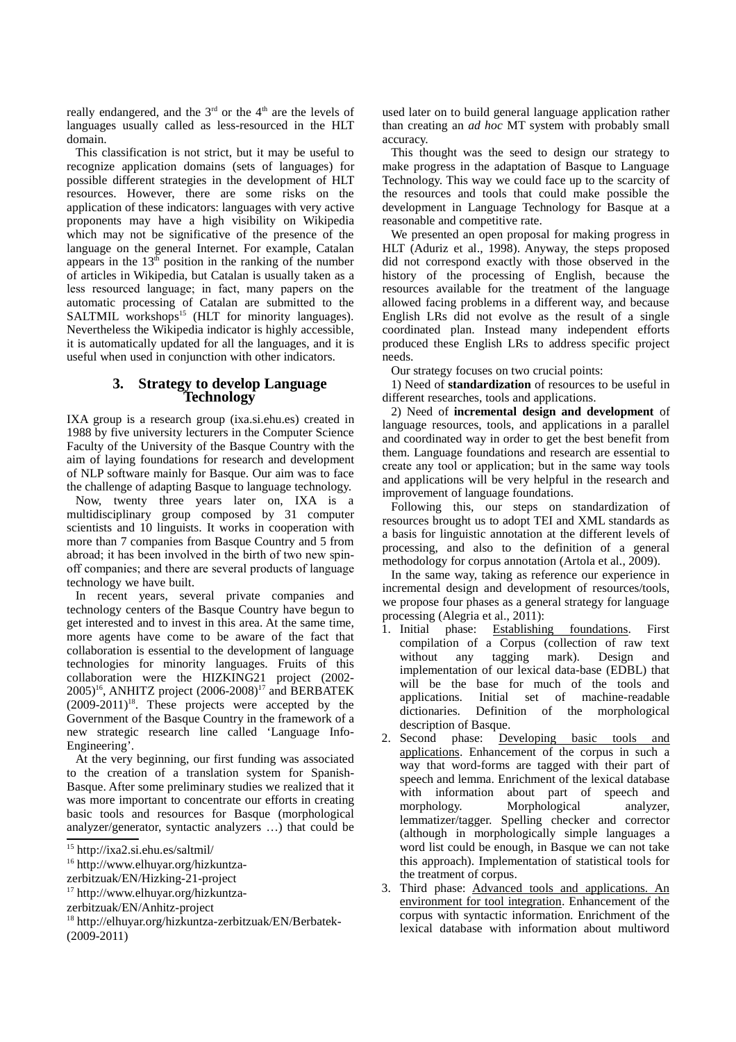really endangered, and the  $3<sup>rd</sup>$  or the  $4<sup>th</sup>$  are the levels of languages usually called as less-resourced in the HLT domain.

This classification is not strict, but it may be useful to recognize application domains (sets of languages) for possible different strategies in the development of HLT resources. However, there are some risks on the application of these indicators: languages with very active proponents may have a high visibility on Wikipedia which may not be significative of the presence of the language on the general Internet. For example, Catalan appears in the  $13<sup>th</sup>$  position in the ranking of the number of articles in Wikipedia, but Catalan is usually taken as a less resourced language; in fact, many papers on the automatic processing of Catalan are submitted to the  $SALTMIL$  workshops<sup>15</sup> (HLT for minority languages). Nevertheless the Wikipedia indicator is highly accessible, it is automatically updated for all the languages, and it is useful when used in conjunction with other indicators.

### **3. Strategy to develop Language Technology**

IXA group is a research group (ixa.si.ehu.es) created in 1988 by five university lecturers in the Computer Science Faculty of the University of the Basque Country with the aim of laying foundations for research and development of NLP software mainly for Basque. Our aim was to face the challenge of adapting Basque to language technology.

Now, twenty three years later on, IXA is a multidisciplinary group composed by 31 computer scientists and 10 linguists. It works in cooperation with more than 7 companies from Basque Country and 5 from abroad; it has been involved in the birth of two new spinoff companies; and there are several products of language technology we have built.

In recent years, several private companies and technology centers of the Basque Country have begun to get interested and to invest in this area. At the same time, more agents have come to be aware of the fact that collaboration is essential to the development of language technologies for minority languages. Fruits of this collaboration were the HIZKING21 project (2002-  $2005$ <sup>16</sup>, ANHITZ project (2006-2008)<sup>17</sup> and BERBATEK  $(2009-2011)^{18}$ . These projects were accepted by the Government of the Basque Country in the framework of a new strategic research line called 'Language Info-Engineering'.

At the very beginning, our first funding was associated to the creation of a translation system for Spanish-Basque. After some preliminary studies we realized that it was more important to concentrate our efforts in creating basic tools and resources for Basque (morphological analyzer/generator, syntactic analyzers …) that could be

used later on to build general language application rather than creating an *ad hoc* MT system with probably small accuracy.

This thought was the seed to design our strategy to make progress in the adaptation of Basque to Language Technology. This way we could face up to the scarcity of the resources and tools that could make possible the development in Language Technology for Basque at a reasonable and competitive rate.

We presented an open proposal for making progress in HLT (Aduriz et al., 1998). Anyway, the steps proposed did not correspond exactly with those observed in the history of the processing of English, because the resources available for the treatment of the language allowed facing problems in a different way, and because English LRs did not evolve as the result of a single coordinated plan. Instead many independent efforts produced these English LRs to address specific project needs.

Our strategy focuses on two crucial points:

1) Need of **standardization** of resources to be useful in different researches, tools and applications.

2) Need of **incremental design and development** of language resources, tools, and applications in a parallel and coordinated way in order to get the best benefit from them. Language foundations and research are essential to create any tool or application; but in the same way tools and applications will be very helpful in the research and improvement of language foundations.

Following this, our steps on standardization of resources brought us to adopt TEI and XML standards as a basis for linguistic annotation at the different levels of processing, and also to the definition of a general methodology for corpus annotation (Artola et al., 2009).

In the same way, taking as reference our experience in incremental design and development of resources/tools, we propose four phases as a general strategy for language processing (Alegria et al., 2011):

- 1. Initial phase: Establishing foundations. First compilation of a Corpus (collection of raw text without any tagging mark). Design and implementation of our lexical data-base (EDBL) that will be the base for much of the tools and applications. Initial set of machine-readable dictionaries. Definition of the morphological description of Basque.<br>2. Second phase: De
- Developing basic tools and applications. Enhancement of the corpus in such a way that word-forms are tagged with their part of speech and lemma. Enrichment of the lexical database with information about part of speech and morphology. Morphological analyzer, lemmatizer/tagger. Spelling checker and corrector (although in morphologically simple languages a word list could be enough, in Basque we can not take this approach). Implementation of statistical tools for the treatment of corpus.
- 3. Third phase: Advanced tools and applications. An environment for tool integration. Enhancement of the corpus with syntactic information. Enrichment of the lexical database with information about multiword

<sup>15</sup> http://ixa2.si.ehu.es/saltmil/

<sup>16</sup> http://www.elhuyar.org/hizkuntza-

zerbitzuak/EN/Hizking-21-project

<sup>17</sup> http://www.elhuyar.org/hizkuntza-

zerbitzuak/EN/Anhitz-project

<sup>18</sup> http://elhuyar.org/hizkuntza-zerbitzuak/EN/Berbatek- (2009-2011)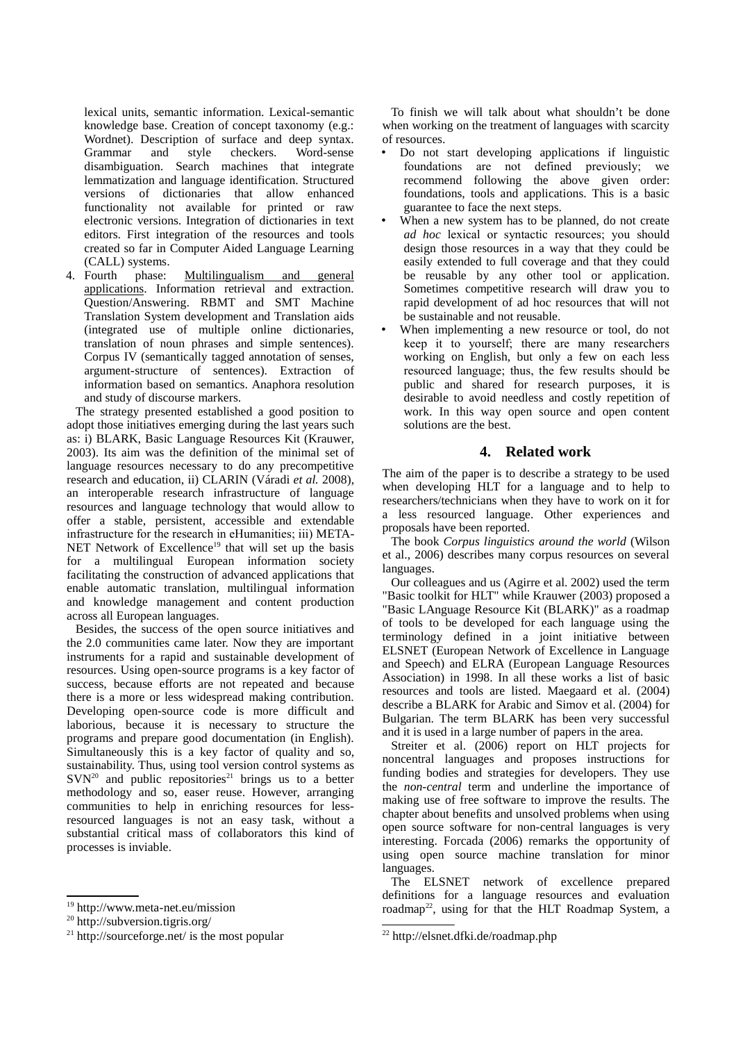lexical units, semantic information. Lexical-semantic knowledge base. Creation of concept taxonomy (e.g.: Wordnet). Description of surface and deep syntax. Grammar and style checkers. Word-sense disambiguation. Search machines that integrate lemmatization and language identification. Structured versions of dictionaries that allow enhanced functionality not available for printed or raw electronic versions. Integration of dictionaries in text editors. First integration of the resources and tools created so far in Computer Aided Language Learning (CALL) systems.

4. Fourth phase: Multilingualism and general applications. Information retrieval and extraction. Question/Answering. RBMT and SMT Machine Translation System development and Translation aids (integrated use of multiple online dictionaries, translation of noun phrases and simple sentences). Corpus IV (semantically tagged annotation of senses, argument-structure of sentences). Extraction of information based on semantics. Anaphora resolution and study of discourse markers.

The strategy presented established a good position to adopt those initiatives emerging during the last years such as: i) BLARK, Basic Language Resources Kit (Krauwer, 2003). Its aim was the definition of the minimal set of language resources necessary to do any precompetitive research and education, ii) CLARIN (Váradi *et al.* 2008), an interoperable research infrastructure of language resources and language technology that would allow to offer a stable, persistent, accessible and extendable infrastructure for the research in eHumanities; iii) META-NET Network of Excellence<sup>19</sup> that will set up the basis for a multilingual European information society facilitating the construction of advanced applications that enable automatic translation, multilingual information and knowledge management and content production across all European languages.

Besides, the success of the open source initiatives and the 2.0 communities came later. Now they are important instruments for a rapid and sustainable development of resources. Using open-source programs is a key factor of success, because efforts are not repeated and because there is a more or less widespread making contribution. Developing open-source code is more difficult and laborious, because it is necessary to structure the programs and prepare good documentation (in English). Simultaneously this is a key factor of quality and so, sustainability. Thus, using tool version control systems as  $SVN<sup>20</sup>$  and public repositories<sup>21</sup> brings us to a better methodology and so, easer reuse. However, arranging communities to help in enriching resources for lessresourced languages is not an easy task, without a substantial critical mass of collaborators this kind of processes is inviable.

To finish we will talk about what shouldn't be done when working on the treatment of languages with scarcity of resources.

- Do not start developing applications if linguistic foundations are not defined previously; we recommend following the above given order: foundations, tools and applications. This is a basic guarantee to face the next steps.
- When a new system has to be planned, do not create *ad hoc* lexical or syntactic resources; you should design those resources in a way that they could be easily extended to full coverage and that they could be reusable by any other tool or application. Sometimes competitive research will draw you to rapid development of ad hoc resources that will not be sustainable and not reusable.
- When implementing a new resource or tool, do not keep it to yourself; there are many researchers working on English, but only a few on each less resourced language; thus, the few results should be public and shared for research purposes, it is desirable to avoid needless and costly repetition of work. In this way open source and open content solutions are the best.

# **4. Related work**

The aim of the paper is to describe a strategy to be used when developing HLT for a language and to help to researchers/technicians when they have to work on it for a less resourced language. Other experiences and proposals have been reported.

The book *Corpus linguistics around the world* (Wilson et al., 2006) describes many corpus resources on several languages.

Our colleagues and us (Agirre et al. 2002) used the term "Basic toolkit for HLT" while Krauwer (2003) proposed a "Basic LAnguage Resource Kit (BLARK)" as a roadmap of tools to be developed for each language using the terminology defined in a joint initiative between ELSNET (European Network of Excellence in Language and Speech) and ELRA (European Language Resources Association) in 1998. In all these works a list of basic resources and tools are listed. Maegaard et al. (2004) describe a BLARK for Arabic and Simov et al. (2004) for Bulgarian. The term BLARK has been very successful and it is used in a large number of papers in the area.

Streiter et al. (2006) report on HLT projects for noncentral languages and proposes instructions for funding bodies and strategies for developers. They use the *non-central* term and underline the importance of making use of free software to improve the results. The chapter about benefits and unsolved problems when using open source software for non-central languages is very interesting. Forcada (2006) remarks the opportunity of using open source machine translation for minor languages.

The ELSNET network of excellence prepared definitions for a language resources and evaluation roadmap<sup>22</sup>, using for that the HLT Roadmap System, a

<sup>19</sup> http://www.meta-net.eu/mission

<sup>20</sup> http://subversion.tigris.org/

<sup>21</sup> http://sourceforge.net/ is the most popular

<sup>22</sup> http://elsnet.dfki.de/roadmap.php